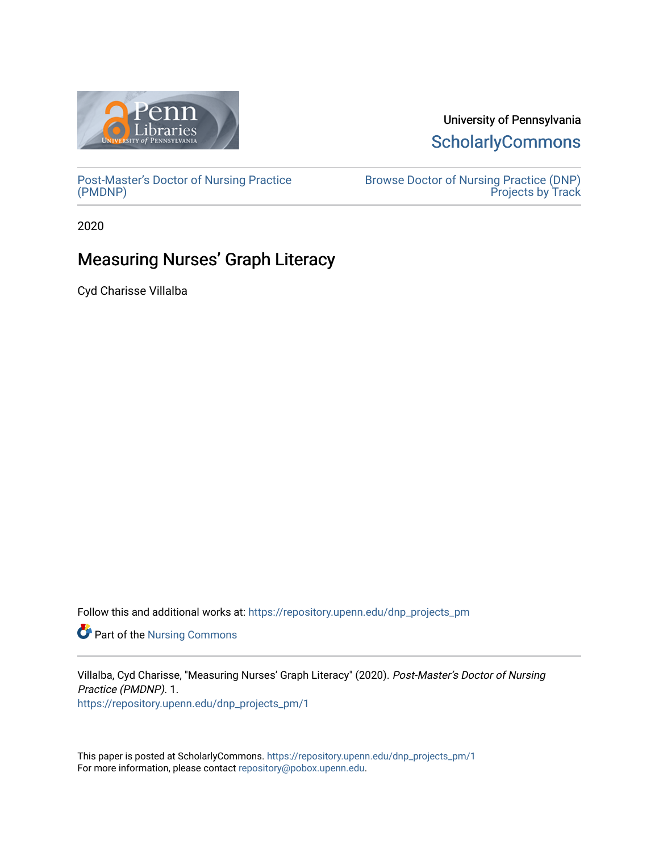

# University of Pennsylvania **ScholarlyCommons**

[Post-Master's Doctor of Nursing Practice](https://repository.upenn.edu/dnp_projects_pm) [\(PMDNP\)](https://repository.upenn.edu/dnp_projects_pm)

[Browse Doctor of Nursing Practice \(DNP\)](https://repository.upenn.edu/dnp_projects_browse)  Projects by Track

2020

# Measuring Nurses' Graph Literacy

Cyd Charisse Villalba

Follow this and additional works at: [https://repository.upenn.edu/dnp\\_projects\\_pm](https://repository.upenn.edu/dnp_projects_pm?utm_source=repository.upenn.edu%2Fdnp_projects_pm%2F1&utm_medium=PDF&utm_campaign=PDFCoverPages) 

Part of the [Nursing Commons](http://network.bepress.com/hgg/discipline/718?utm_source=repository.upenn.edu%2Fdnp_projects_pm%2F1&utm_medium=PDF&utm_campaign=PDFCoverPages) 

Villalba, Cyd Charisse, "Measuring Nurses' Graph Literacy" (2020). Post-Master's Doctor of Nursing Practice (PMDNP). 1. [https://repository.upenn.edu/dnp\\_projects\\_pm/1](https://repository.upenn.edu/dnp_projects_pm/1?utm_source=repository.upenn.edu%2Fdnp_projects_pm%2F1&utm_medium=PDF&utm_campaign=PDFCoverPages) 

This paper is posted at ScholarlyCommons. [https://repository.upenn.edu/dnp\\_projects\\_pm/1](https://repository.upenn.edu/dnp_projects_pm/1) For more information, please contact [repository@pobox.upenn.edu.](mailto:repository@pobox.upenn.edu)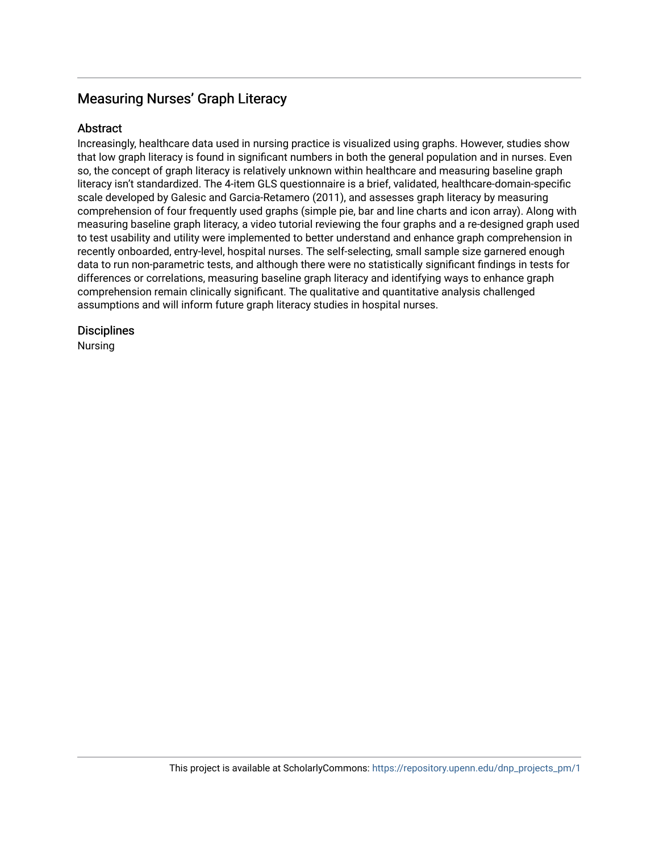## Measuring Nurses' Graph Literacy

## Abstract

Increasingly, healthcare data used in nursing practice is visualized using graphs. However, studies show that low graph literacy is found in significant numbers in both the general population and in nurses. Even so, the concept of graph literacy is relatively unknown within healthcare and measuring baseline graph literacy isn't standardized. The 4-item GLS questionnaire is a brief, validated, healthcare-domain-specific scale developed by Galesic and Garcia-Retamero (2011), and assesses graph literacy by measuring comprehension of four frequently used graphs (simple pie, bar and line charts and icon array). Along with measuring baseline graph literacy, a video tutorial reviewing the four graphs and a re-designed graph used to test usability and utility were implemented to better understand and enhance graph comprehension in recently onboarded, entry-level, hospital nurses. The self-selecting, small sample size garnered enough data to run non-parametric tests, and although there were no statistically significant findings in tests for differences or correlations, measuring baseline graph literacy and identifying ways to enhance graph comprehension remain clinically significant. The qualitative and quantitative analysis challenged assumptions and will inform future graph literacy studies in hospital nurses.

## **Disciplines**

Nursing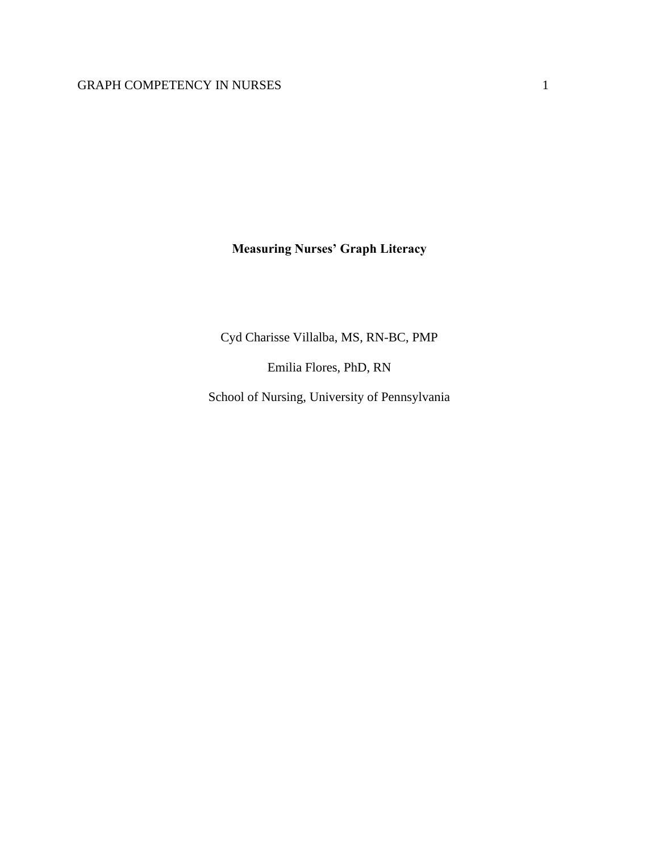**Measuring Nurses' Graph Literacy**

Cyd Charisse Villalba, MS, RN-BC, PMP

Emilia Flores, PhD, RN

School of Nursing, University of Pennsylvania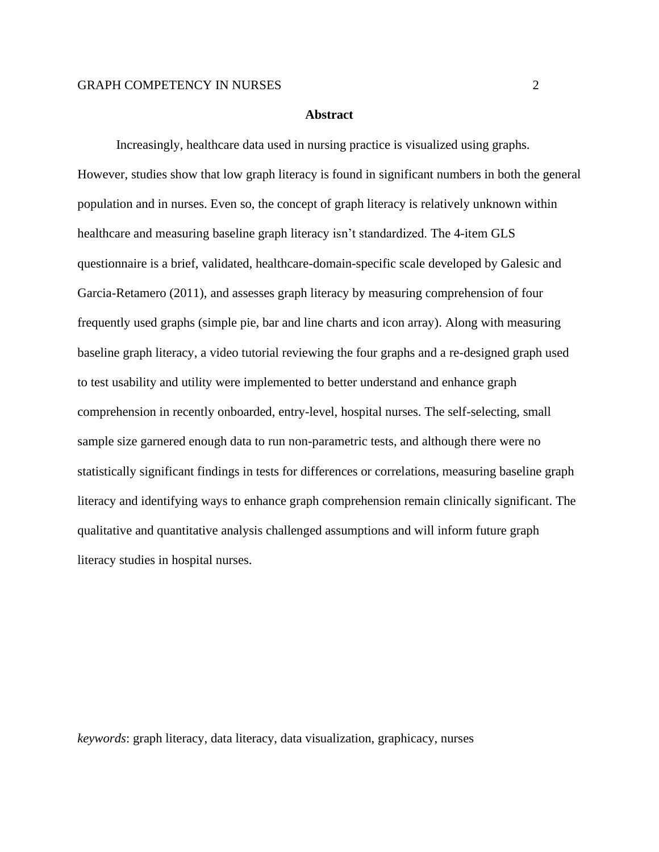#### **Abstract**

Increasingly, healthcare data used in nursing practice is visualized using graphs. However, studies show that low graph literacy is found in significant numbers in both the general population and in nurses. Even so, the concept of graph literacy is relatively unknown within healthcare and measuring baseline graph literacy isn't standardized. The 4-item GLS questionnaire is a brief, validated, healthcare-domain-specific scale developed by Galesic and Garcia-Retamero (2011), and assesses graph literacy by measuring comprehension of four frequently used graphs (simple pie, bar and line charts and icon array). Along with measuring baseline graph literacy, a video tutorial reviewing the four graphs and a re-designed graph used to test usability and utility were implemented to better understand and enhance graph comprehension in recently onboarded, entry-level, hospital nurses. The self-selecting, small sample size garnered enough data to run non-parametric tests, and although there were no statistically significant findings in tests for differences or correlations, measuring baseline graph literacy and identifying ways to enhance graph comprehension remain clinically significant. The qualitative and quantitative analysis challenged assumptions and will inform future graph literacy studies in hospital nurses.

*keywords*: graph literacy, data literacy, data visualization, graphicacy, nurses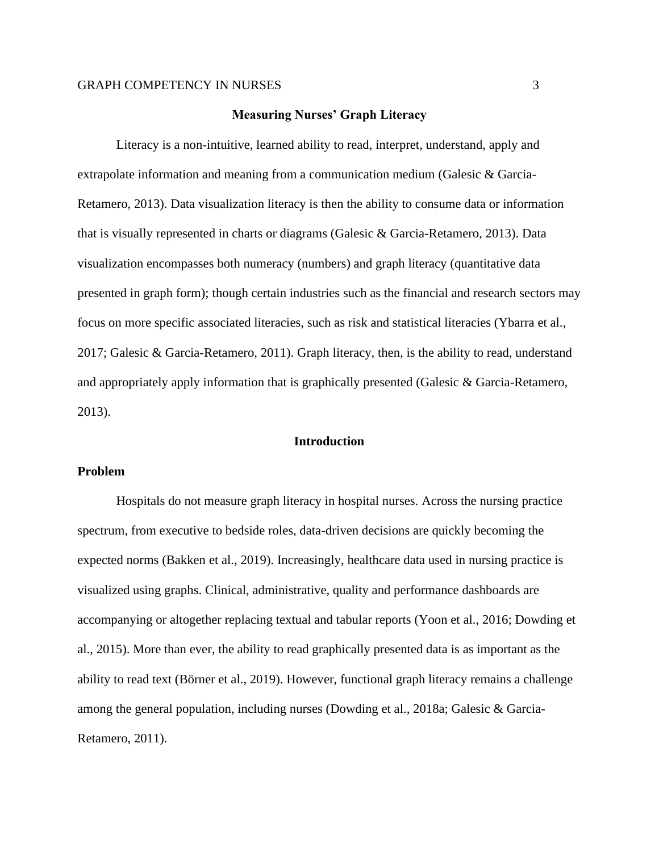#### **Measuring Nurses' Graph Literacy**

Literacy is a non-intuitive, learned ability to read, interpret, understand, apply and extrapolate information and meaning from a communication medium (Galesic & Garcia-Retamero, 2013). Data visualization literacy is then the ability to consume data or information that is visually represented in charts or diagrams (Galesic & Garcia-Retamero, 2013). Data visualization encompasses both numeracy (numbers) and graph literacy (quantitative data presented in graph form); though certain industries such as the financial and research sectors may focus on more specific associated literacies, such as risk and statistical literacies (Ybarra et al., 2017; Galesic & Garcia-Retamero, 2011). Graph literacy, then, is the ability to read, understand and appropriately apply information that is graphically presented (Galesic & Garcia-Retamero, 2013).

#### **Introduction**

#### **Problem**

Hospitals do not measure graph literacy in hospital nurses. Across the nursing practice spectrum, from executive to bedside roles, data-driven decisions are quickly becoming the expected norms (Bakken et al., 2019). Increasingly, healthcare data used in nursing practice is visualized using graphs. Clinical, administrative, quality and performance dashboards are accompanying or altogether replacing textual and tabular reports (Yoon et al., 2016; Dowding et al., 2015). More than ever, the ability to read graphically presented data is as important as the ability to read text (Börner et al., 2019). However, functional graph literacy remains a challenge among the general population, including nurses (Dowding et al., 2018a; Galesic & Garcia-Retamero, 2011).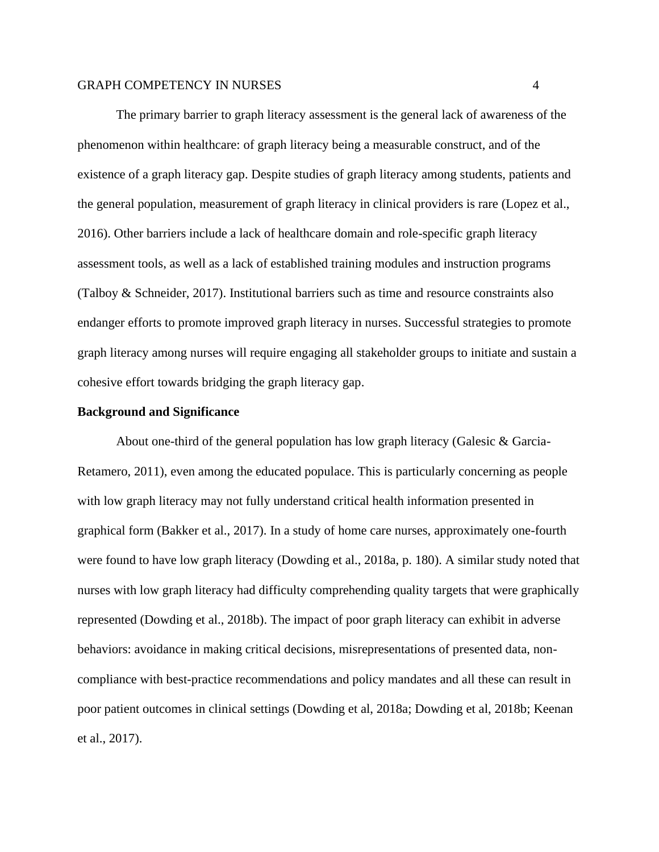The primary barrier to graph literacy assessment is the general lack of awareness of the phenomenon within healthcare: of graph literacy being a measurable construct, and of the existence of a graph literacy gap. Despite studies of graph literacy among students, patients and the general population, measurement of graph literacy in clinical providers is rare (Lopez et al., 2016). Other barriers include a lack of healthcare domain and role-specific graph literacy assessment tools, as well as a lack of established training modules and instruction programs (Talboy & Schneider, 2017). Institutional barriers such as time and resource constraints also endanger efforts to promote improved graph literacy in nurses. Successful strategies to promote graph literacy among nurses will require engaging all stakeholder groups to initiate and sustain a cohesive effort towards bridging the graph literacy gap.

#### **Background and Significance**

About one-third of the general population has low graph literacy (Galesic & Garcia-Retamero, 2011), even among the educated populace. This is particularly concerning as people with low graph literacy may not fully understand critical health information presented in graphical form (Bakker et al., 2017). In a study of home care nurses, approximately one-fourth were found to have low graph literacy (Dowding et al., 2018a, p. 180). A similar study noted that nurses with low graph literacy had difficulty comprehending quality targets that were graphically represented (Dowding et al., 2018b). The impact of poor graph literacy can exhibit in adverse behaviors: avoidance in making critical decisions, misrepresentations of presented data, noncompliance with best-practice recommendations and policy mandates and all these can result in poor patient outcomes in clinical settings (Dowding et al, 2018a; Dowding et al, 2018b; Keenan et al., 2017).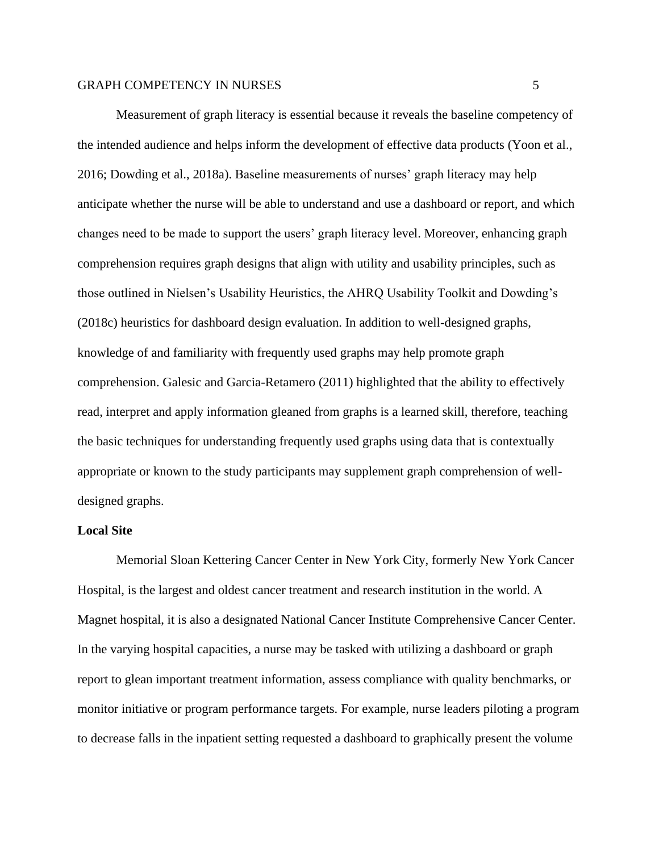Measurement of graph literacy is essential because it reveals the baseline competency of the intended audience and helps inform the development of effective data products (Yoon et al., 2016; Dowding et al., 2018a). Baseline measurements of nurses' graph literacy may help anticipate whether the nurse will be able to understand and use a dashboard or report, and which changes need to be made to support the users' graph literacy level. Moreover, enhancing graph comprehension requires graph designs that align with utility and usability principles, such as those outlined in Nielsen's Usability Heuristics, the AHRQ Usability Toolkit and Dowding's (2018c) heuristics for dashboard design evaluation. In addition to well-designed graphs, knowledge of and familiarity with frequently used graphs may help promote graph comprehension. Galesic and Garcia-Retamero (2011) highlighted that the ability to effectively read, interpret and apply information gleaned from graphs is a learned skill, therefore, teaching the basic techniques for understanding frequently used graphs using data that is contextually appropriate or known to the study participants may supplement graph comprehension of welldesigned graphs.

#### **Local Site**

Memorial Sloan Kettering Cancer Center in New York City, formerly New York Cancer Hospital, is the largest and oldest cancer treatment and research institution in the world. A Magnet hospital, it is also a designated National Cancer Institute Comprehensive Cancer Center. In the varying hospital capacities, a nurse may be tasked with utilizing a dashboard or graph report to glean important treatment information, assess compliance with quality benchmarks, or monitor initiative or program performance targets. For example, nurse leaders piloting a program to decrease falls in the inpatient setting requested a dashboard to graphically present the volume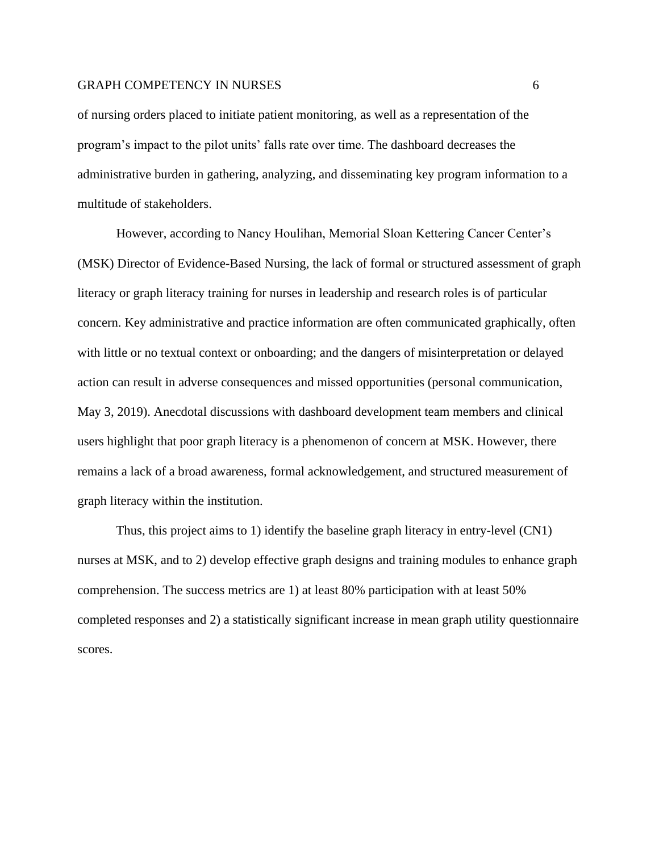of nursing orders placed to initiate patient monitoring, as well as a representation of the program's impact to the pilot units' falls rate over time. The dashboard decreases the administrative burden in gathering, analyzing, and disseminating key program information to a multitude of stakeholders.

However, according to Nancy Houlihan, Memorial Sloan Kettering Cancer Center's (MSK) Director of Evidence-Based Nursing, the lack of formal or structured assessment of graph literacy or graph literacy training for nurses in leadership and research roles is of particular concern. Key administrative and practice information are often communicated graphically, often with little or no textual context or onboarding; and the dangers of misinterpretation or delayed action can result in adverse consequences and missed opportunities (personal communication, May 3, 2019). Anecdotal discussions with dashboard development team members and clinical users highlight that poor graph literacy is a phenomenon of concern at MSK. However, there remains a lack of a broad awareness, formal acknowledgement, and structured measurement of graph literacy within the institution.

Thus, this project aims to 1) identify the baseline graph literacy in entry-level (CN1) nurses at MSK, and to 2) develop effective graph designs and training modules to enhance graph comprehension. The success metrics are 1) at least 80% participation with at least 50% completed responses and 2) a statistically significant increase in mean graph utility questionnaire scores.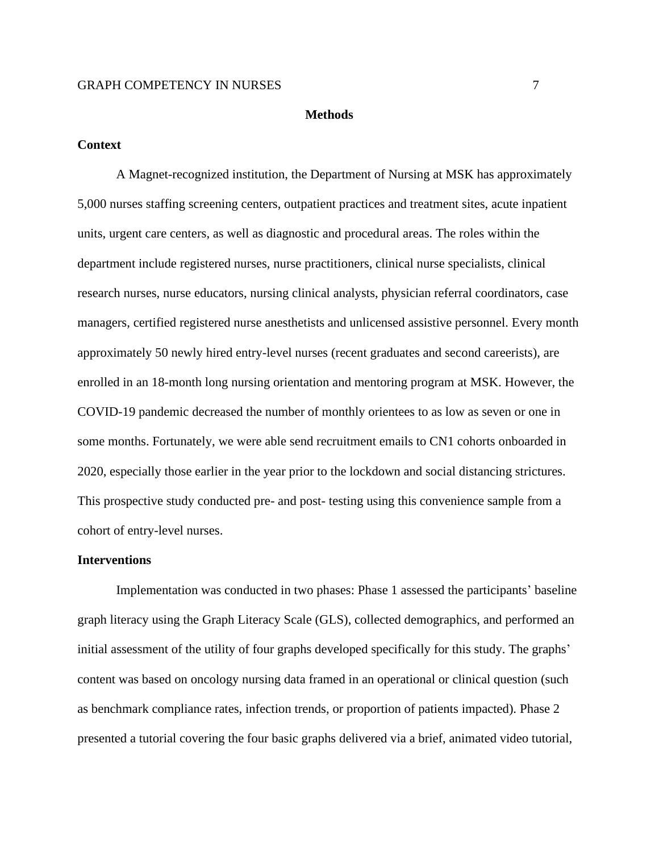#### **Methods**

#### **Context**

A Magnet-recognized institution, the Department of Nursing at MSK has approximately 5,000 nurses staffing screening centers, outpatient practices and treatment sites, acute inpatient units, urgent care centers, as well as diagnostic and procedural areas. The roles within the department include registered nurses, nurse practitioners, clinical nurse specialists, clinical research nurses, nurse educators, nursing clinical analysts, physician referral coordinators, case managers, certified registered nurse anesthetists and unlicensed assistive personnel. Every month approximately 50 newly hired entry-level nurses (recent graduates and second careerists), are enrolled in an 18-month long nursing orientation and mentoring program at MSK. However, the COVID-19 pandemic decreased the number of monthly orientees to as low as seven or one in some months. Fortunately, we were able send recruitment emails to CN1 cohorts onboarded in 2020, especially those earlier in the year prior to the lockdown and social distancing strictures. This prospective study conducted pre- and post- testing using this convenience sample from a cohort of entry-level nurses.

#### **Interventions**

Implementation was conducted in two phases: Phase 1 assessed the participants' baseline graph literacy using the Graph Literacy Scale (GLS), collected demographics, and performed an initial assessment of the utility of four graphs developed specifically for this study. The graphs' content was based on oncology nursing data framed in an operational or clinical question (such as benchmark compliance rates, infection trends, or proportion of patients impacted). Phase 2 presented a tutorial covering the four basic graphs delivered via a brief, animated video tutorial,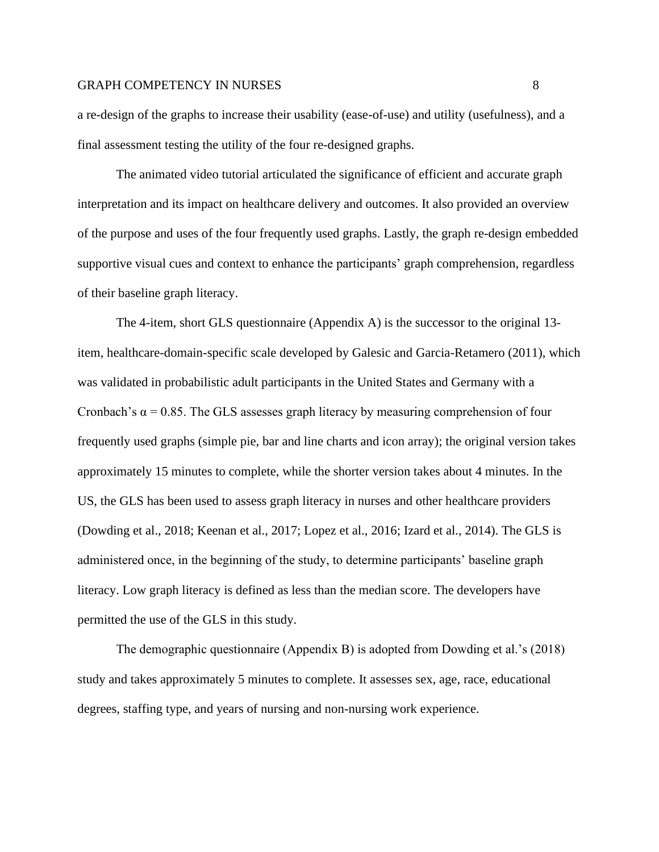a re-design of the graphs to increase their usability (ease-of-use) and utility (usefulness), and a final assessment testing the utility of the four re-designed graphs.

The animated video tutorial articulated the significance of efficient and accurate graph interpretation and its impact on healthcare delivery and outcomes. It also provided an overview of the purpose and uses of the four frequently used graphs. Lastly, the graph re-design embedded supportive visual cues and context to enhance the participants' graph comprehension, regardless of their baseline graph literacy.

The 4-item, short GLS questionnaire (Appendix A) is the successor to the original 13 item, healthcare-domain-specific scale developed by Galesic and Garcia-Retamero (2011), which was validated in probabilistic adult participants in the United States and Germany with a Cronbach's  $\alpha$  = 0.85. The GLS assesses graph literacy by measuring comprehension of four frequently used graphs (simple pie, bar and line charts and icon array); the original version takes approximately 15 minutes to complete, while the shorter version takes about 4 minutes. In the US, the GLS has been used to assess graph literacy in nurses and other healthcare providers (Dowding et al., 2018; Keenan et al., 2017; Lopez et al., 2016; Izard et al., 2014). The GLS is administered once, in the beginning of the study, to determine participants' baseline graph literacy. Low graph literacy is defined as less than the median score. The developers have permitted the use of the GLS in this study.

The demographic questionnaire (Appendix B) is adopted from Dowding et al.'s (2018) study and takes approximately 5 minutes to complete. It assesses sex, age, race, educational degrees, staffing type, and years of nursing and non-nursing work experience.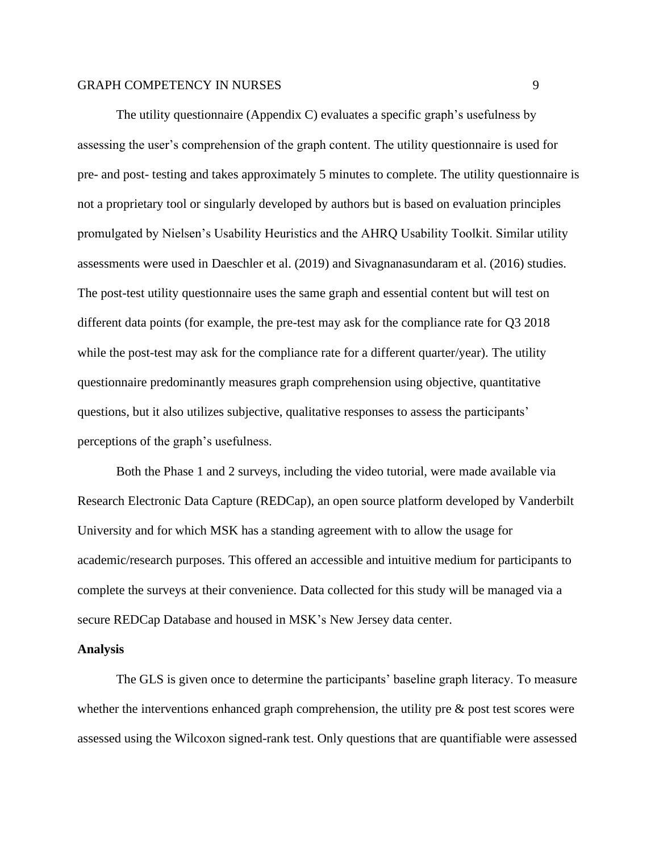The utility questionnaire (Appendix C) evaluates a specific graph's usefulness by assessing the user's comprehension of the graph content. The utility questionnaire is used for pre- and post- testing and takes approximately 5 minutes to complete. The utility questionnaire is not a proprietary tool or singularly developed by authors but is based on evaluation principles promulgated by Nielsen's Usability Heuristics and the AHRQ Usability Toolkit. Similar utility assessments were used in Daeschler et al. (2019) and Sivagnanasundaram et al. (2016) studies. The post-test utility questionnaire uses the same graph and essential content but will test on different data points (for example, the pre-test may ask for the compliance rate for Q3 2018 while the post-test may ask for the compliance rate for a different quarter/year). The utility questionnaire predominantly measures graph comprehension using objective, quantitative questions, but it also utilizes subjective, qualitative responses to assess the participants' perceptions of the graph's usefulness.

Both the Phase 1 and 2 surveys, including the video tutorial, were made available via Research Electronic Data Capture (REDCap), an open source platform developed by Vanderbilt University and for which MSK has a standing agreement with to allow the usage for academic/research purposes. This offered an accessible and intuitive medium for participants to complete the surveys at their convenience. Data collected for this study will be managed via a secure REDCap Database and housed in MSK's New Jersey data center.

#### **Analysis**

The GLS is given once to determine the participants' baseline graph literacy. To measure whether the interventions enhanced graph comprehension, the utility pre & post test scores were assessed using the Wilcoxon signed-rank test. Only questions that are quantifiable were assessed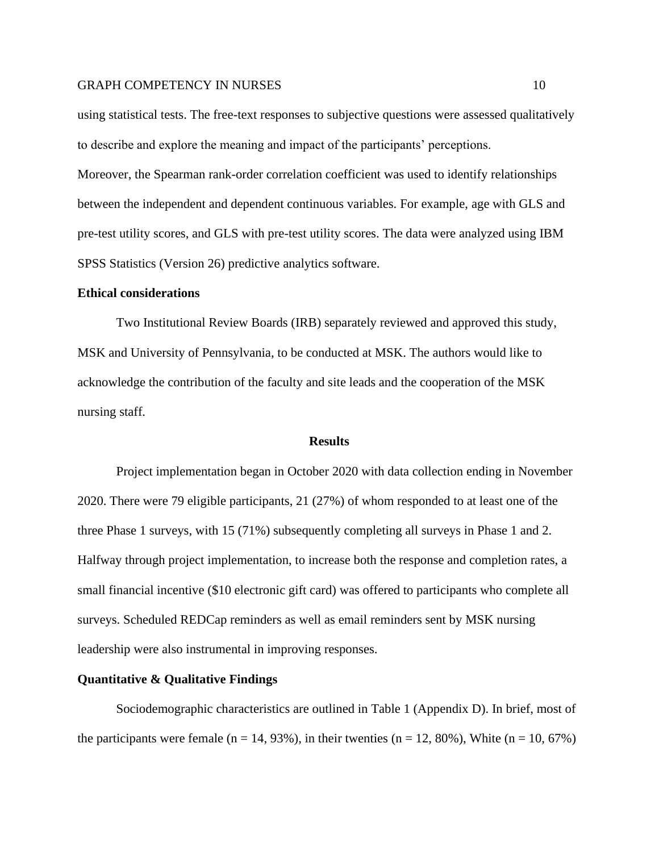using statistical tests. The free-text responses to subjective questions were assessed qualitatively to describe and explore the meaning and impact of the participants' perceptions.

Moreover, the Spearman rank-order correlation coefficient was used to identify relationships between the independent and dependent continuous variables. For example, age with GLS and pre-test utility scores, and GLS with pre-test utility scores. The data were analyzed using IBM SPSS Statistics (Version 26) predictive analytics software.

#### **Ethical considerations**

Two Institutional Review Boards (IRB) separately reviewed and approved this study, MSK and University of Pennsylvania, to be conducted at MSK. The authors would like to acknowledge the contribution of the faculty and site leads and the cooperation of the MSK nursing staff.

#### **Results**

Project implementation began in October 2020 with data collection ending in November 2020. There were 79 eligible participants, 21 (27%) of whom responded to at least one of the three Phase 1 surveys, with 15 (71%) subsequently completing all surveys in Phase 1 and 2. Halfway through project implementation, to increase both the response and completion rates, a small financial incentive (\$10 electronic gift card) was offered to participants who complete all surveys. Scheduled REDCap reminders as well as email reminders sent by MSK nursing leadership were also instrumental in improving responses.

#### **Quantitative & Qualitative Findings**

Sociodemographic characteristics are outlined in Table 1 (Appendix D). In brief, most of the participants were female (n = 14, 93%), in their twenties (n = 12, 80%), White (n = 10, 67%)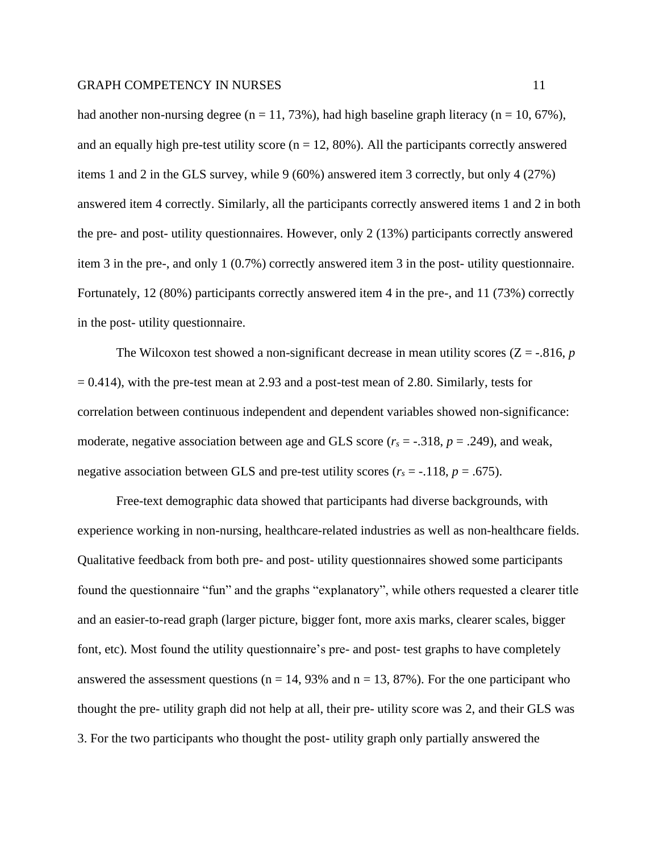had another non-nursing degree (n = 11, 73%), had high baseline graph literacy (n = 10, 67%), and an equally high pre-test utility score ( $n = 12, 80\%$ ). All the participants correctly answered items 1 and 2 in the GLS survey, while 9 (60%) answered item 3 correctly, but only 4 (27%) answered item 4 correctly. Similarly, all the participants correctly answered items 1 and 2 in both the pre- and post- utility questionnaires. However, only 2 (13%) participants correctly answered item 3 in the pre-, and only 1 (0.7%) correctly answered item 3 in the post- utility questionnaire. Fortunately, 12 (80%) participants correctly answered item 4 in the pre-, and 11 (73%) correctly in the post- utility questionnaire.

The Wilcoxon test showed a non-significant decrease in mean utility scores  $(Z = -0.816, p$  $= 0.414$ ), with the pre-test mean at 2.93 and a post-test mean of 2.80. Similarly, tests for correlation between continuous independent and dependent variables showed non-significance: moderate, negative association between age and GLS score  $(r_s = -.318, p = .249)$ , and weak, negative association between GLS and pre-test utility scores ( $r_s = -118$ ,  $p = .675$ ).

Free-text demographic data showed that participants had diverse backgrounds, with experience working in non-nursing, healthcare-related industries as well as non-healthcare fields. Qualitative feedback from both pre- and post- utility questionnaires showed some participants found the questionnaire "fun" and the graphs "explanatory", while others requested a clearer title and an easier-to-read graph (larger picture, bigger font, more axis marks, clearer scales, bigger font, etc). Most found the utility questionnaire's pre- and post- test graphs to have completely answered the assessment questions ( $n = 14$ , 93% and  $n = 13$ , 87%). For the one participant who thought the pre- utility graph did not help at all, their pre- utility score was 2, and their GLS was 3. For the two participants who thought the post- utility graph only partially answered the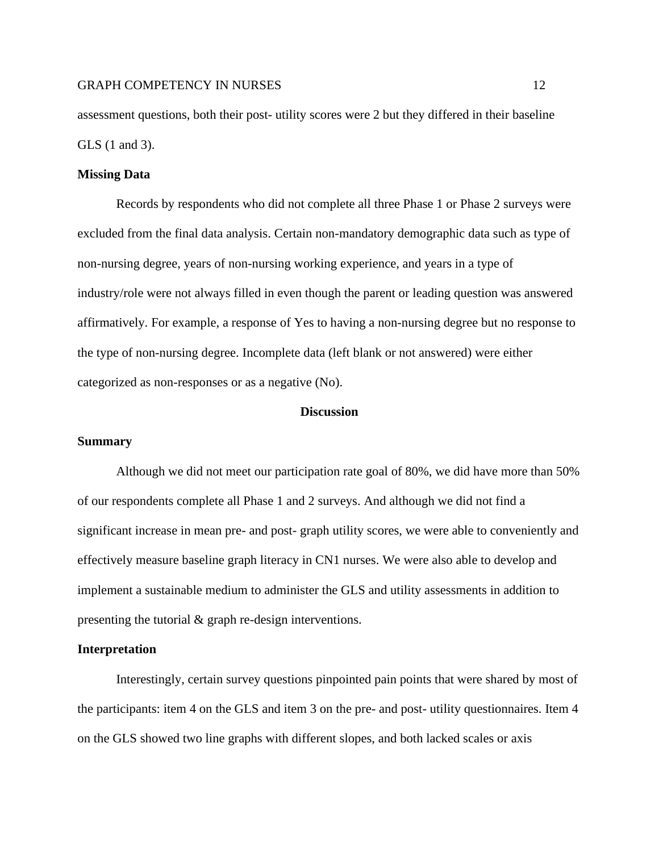assessment questions, both their post- utility scores were 2 but they differed in their baseline GLS (1 and 3).

### **Missing Data**

Records by respondents who did not complete all three Phase 1 or Phase 2 surveys were excluded from the final data analysis. Certain non-mandatory demographic data such as type of non-nursing degree, years of non-nursing working experience, and years in a type of industry/role were not always filled in even though the parent or leading question was answered affirmatively. For example, a response of Yes to having a non-nursing degree but no response to the type of non-nursing degree. Incomplete data (left blank or not answered) were either categorized as non-responses or as a negative (No).

#### **Discussion**

#### **Summary**

Although we did not meet our participation rate goal of 80%, we did have more than 50% of our respondents complete all Phase 1 and 2 surveys. And although we did not find a significant increase in mean pre- and post- graph utility scores, we were able to conveniently and effectively measure baseline graph literacy in CN1 nurses. We were also able to develop and implement a sustainable medium to administer the GLS and utility assessments in addition to presenting the tutorial & graph re-design interventions.

#### **Interpretation**

Interestingly, certain survey questions pinpointed pain points that were shared by most of the participants: item 4 on the GLS and item 3 on the pre- and post- utility questionnaires. Item 4 on the GLS showed two line graphs with different slopes, and both lacked scales or axis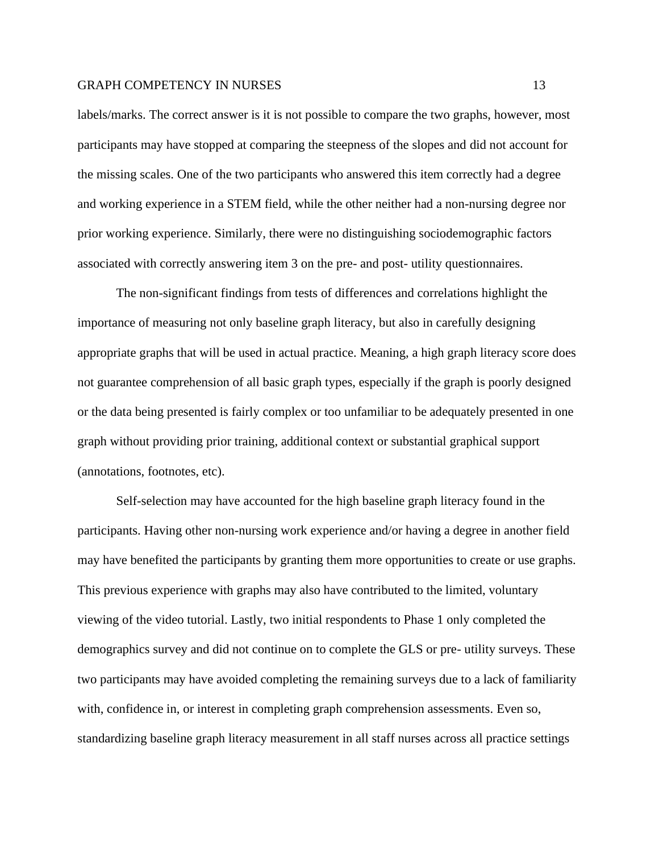labels/marks. The correct answer is it is not possible to compare the two graphs, however, most participants may have stopped at comparing the steepness of the slopes and did not account for the missing scales. One of the two participants who answered this item correctly had a degree and working experience in a STEM field, while the other neither had a non-nursing degree nor prior working experience. Similarly, there were no distinguishing sociodemographic factors associated with correctly answering item 3 on the pre- and post- utility questionnaires.

The non-significant findings from tests of differences and correlations highlight the importance of measuring not only baseline graph literacy, but also in carefully designing appropriate graphs that will be used in actual practice. Meaning, a high graph literacy score does not guarantee comprehension of all basic graph types, especially if the graph is poorly designed or the data being presented is fairly complex or too unfamiliar to be adequately presented in one graph without providing prior training, additional context or substantial graphical support (annotations, footnotes, etc).

Self-selection may have accounted for the high baseline graph literacy found in the participants. Having other non-nursing work experience and/or having a degree in another field may have benefited the participants by granting them more opportunities to create or use graphs. This previous experience with graphs may also have contributed to the limited, voluntary viewing of the video tutorial. Lastly, two initial respondents to Phase 1 only completed the demographics survey and did not continue on to complete the GLS or pre- utility surveys. These two participants may have avoided completing the remaining surveys due to a lack of familiarity with, confidence in, or interest in completing graph comprehension assessments. Even so, standardizing baseline graph literacy measurement in all staff nurses across all practice settings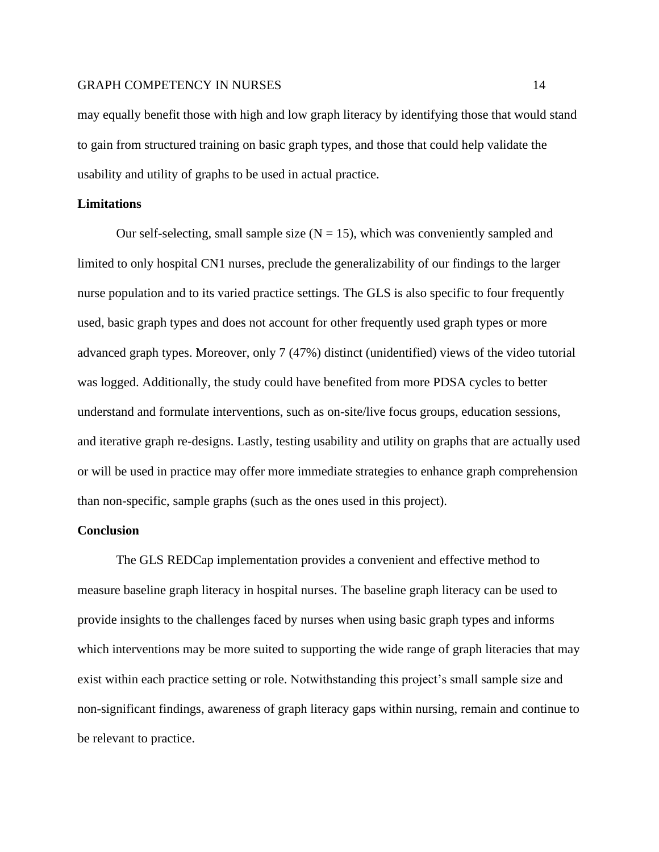may equally benefit those with high and low graph literacy by identifying those that would stand to gain from structured training on basic graph types, and those that could help validate the usability and utility of graphs to be used in actual practice.

### **Limitations**

Our self-selecting, small sample size  $(N = 15)$ , which was conveniently sampled and limited to only hospital CN1 nurses, preclude the generalizability of our findings to the larger nurse population and to its varied practice settings. The GLS is also specific to four frequently used, basic graph types and does not account for other frequently used graph types or more advanced graph types. Moreover, only 7 (47%) distinct (unidentified) views of the video tutorial was logged. Additionally, the study could have benefited from more PDSA cycles to better understand and formulate interventions, such as on-site/live focus groups, education sessions, and iterative graph re-designs. Lastly, testing usability and utility on graphs that are actually used or will be used in practice may offer more immediate strategies to enhance graph comprehension than non-specific, sample graphs (such as the ones used in this project).

#### **Conclusion**

The GLS REDCap implementation provides a convenient and effective method to measure baseline graph literacy in hospital nurses. The baseline graph literacy can be used to provide insights to the challenges faced by nurses when using basic graph types and informs which interventions may be more suited to supporting the wide range of graph literacies that may exist within each practice setting or role. Notwithstanding this project's small sample size and non-significant findings, awareness of graph literacy gaps within nursing, remain and continue to be relevant to practice.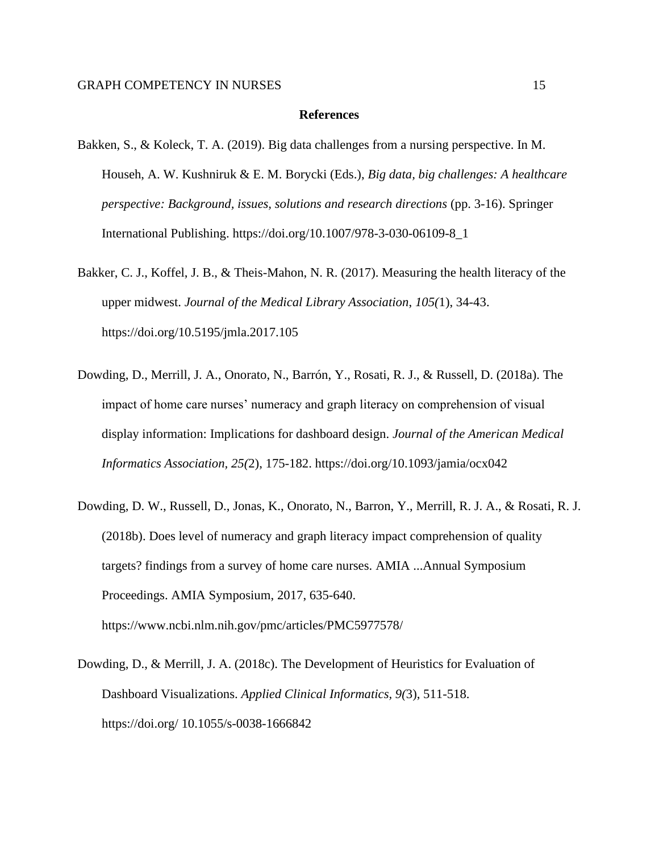#### **References**

- Bakken, S., & Koleck, T. A. (2019). Big data challenges from a nursing perspective. In M. Househ, A. W. Kushniruk & E. M. Borycki (Eds.), *Big data, big challenges: A healthcare perspective: Background, issues, solutions and research directions* (pp. 3-16). Springer International Publishing. [https://doi.org/10.1007/978-3-030-06109-8\\_1](https://doi.org/10.1007/978-3-030-06109-8_1)
- Bakker, C. J., Koffel, J. B., & Theis-Mahon, N. R. (2017). Measuring the health literacy of the upper midwest. *Journal of the Medical Library Association*, *105(*1), 34-43. https://doi.org/10.5195/jmla.2017.105
- Dowding, D., Merrill, J. A., Onorato, N., Barrón, Y., Rosati, R. J., & Russell, D. (2018a). The impact of home care nurses' numeracy and graph literacy on comprehension of visual display information: Implications for dashboard design. *Journal of the American Medical Informatics Association, 25(*2), 175-182. https://doi.org/10.1093/jamia/ocx042
- Dowding, D. W., Russell, D., Jonas, K., Onorato, N., Barron, Y., Merrill, R. J. A., & Rosati, R. J. (2018b). Does level of numeracy and graph literacy impact comprehension of quality targets? findings from a survey of home care nurses. AMIA ...Annual Symposium Proceedings. AMIA Symposium, 2017, 635-640. https://www.ncbi.nlm.nih.gov/pmc/articles/PMC5977578/
- Dowding, D., & Merrill, J. A. (2018c). The Development of Heuristics for Evaluation of Dashboard Visualizations. *Applied Clinical Informatics, 9(*3), 511-518. https://doi.org/ [10.1055/s-0038-1666842](https://doi.org/10.1055/s-0038-1666842)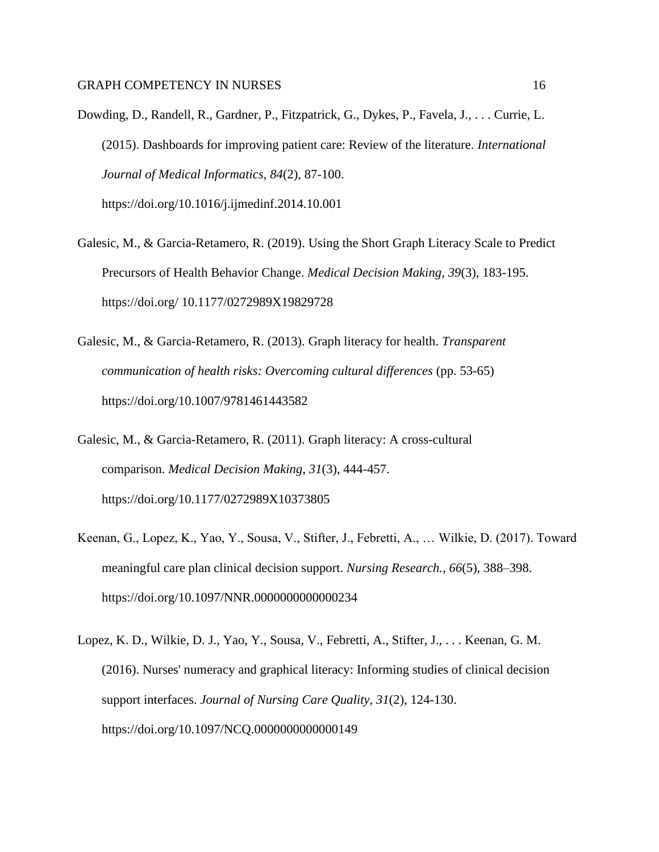- Dowding, D., Randell, R., Gardner, P., Fitzpatrick, G., Dykes, P., Favela, J., . . . Currie, L. (2015). Dashboards for improving patient care: Review of the literature. *International Journal of Medical Informatics, 84*(2), 87-100. https://doi.org/10.1016/j.ijmedinf.2014.10.001
- Galesic, M., & Garcia-Retamero, R. (2019). Using the Short Graph Literacy Scale to Predict Precursors of Health Behavior Change. *Medical Decision Making, 39*(3), 183-195. https://doi.org/ 10.1177/0272989X19829728
- Galesic, M., & Garcia-Retamero, R. (2013). Graph literacy for health. *Transparent communication of health risks: Overcoming cultural differences* (pp. 53-65) https://doi.org/10.1007/9781461443582
- Galesic, M., & Garcia-Retamero, R. (2011). Graph literacy: A cross-cultural comparison. *Medical Decision Making, 31*(3), 444-457. https://doi.org/10.1177/0272989X10373805
- Keenan, G., Lopez, K., Yao, Y., Sousa, V., Stifter, J., Febretti, A., … Wilkie, D. (2017). Toward meaningful care plan clinical decision support. *Nursing Research.*, *66*(5), 388–398. https://doi.org/10.1097/NNR.0000000000000234
- Lopez, K. D., Wilkie, D. J., Yao, Y., Sousa, V., Febretti, A., Stifter, J., . . . Keenan, G. M. (2016). Nurses' numeracy and graphical literacy: Informing studies of clinical decision support interfaces. *Journal of Nursing Care Quality, 31*(2), 124-130. https://doi.org/10.1097/NCQ.0000000000000149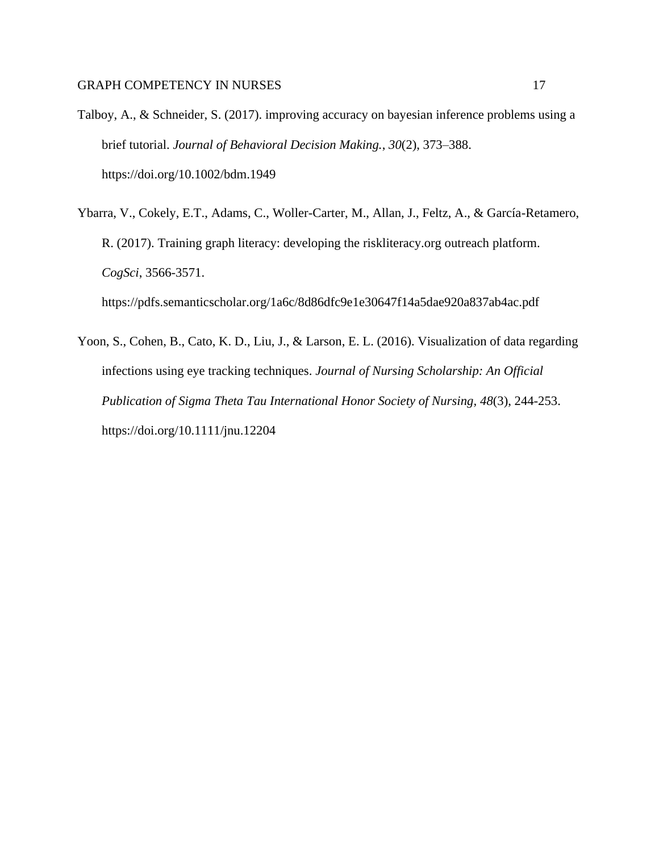- Talboy, A., & Schneider, S. (2017). improving accuracy on bayesian inference problems using a brief tutorial. *Journal of Behavioral Decision Making.*, *30*(2), 373–388. https://doi.org/10.1002/bdm.1949
- Ybarra, V., Cokely, E.T., Adams, C., Woller-Carter, M., Allan, J., Feltz, A., & García-Retamero, R. (2017). Training graph literacy: developing the riskliteracy.org outreach platform. *CogSci*, 3566-3571. https://pdfs.semanticscholar.org/1a6c/8d86dfc9e1e30647f14a5dae920a837ab4ac.pdf
- Yoon, S., Cohen, B., Cato, K. D., Liu, J., & Larson, E. L. (2016). Visualization of data regarding infections using eye tracking techniques. *Journal of Nursing Scholarship: An Official Publication of Sigma Theta Tau International Honor Society of Nursing, 48*(3), 244-253. https://doi.org/10.1111/jnu.12204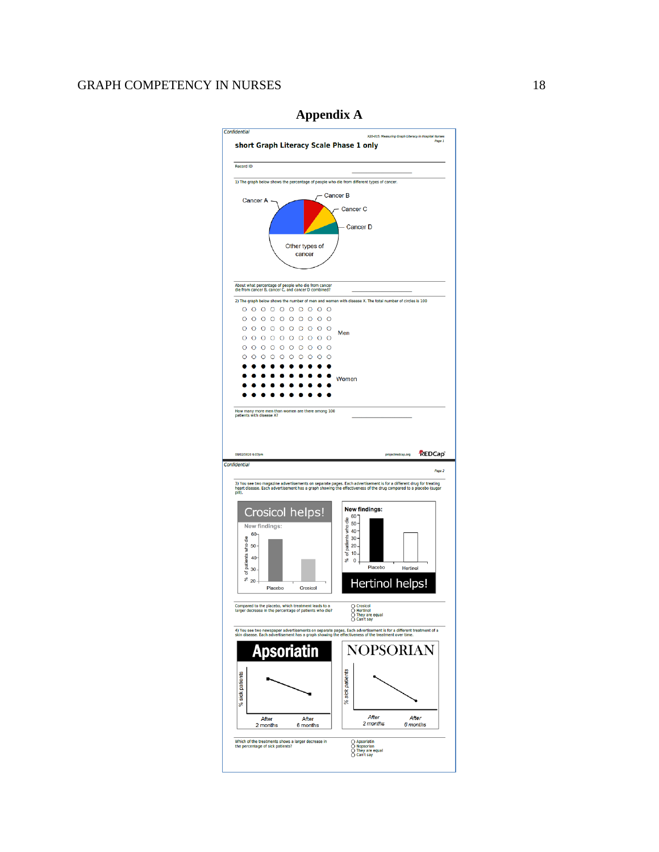

## **Appendix A**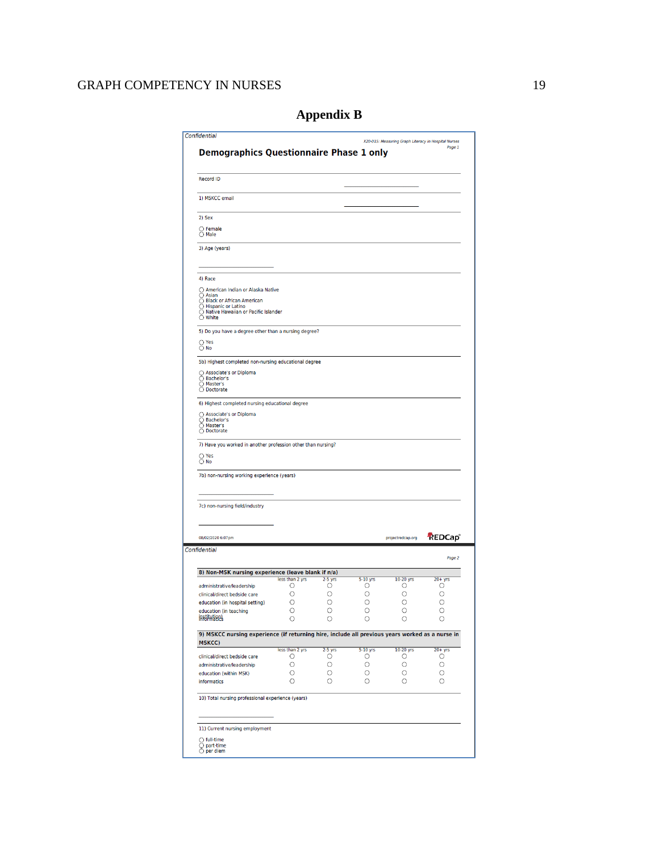Ī7

| <b>Demographics Questionnaire Phase 1 only</b>                                                                                                                           |                      |                |                 | X20-015: Measuring Graph Literacy in Hospital Nurses | Page 1             |
|--------------------------------------------------------------------------------------------------------------------------------------------------------------------------|----------------------|----------------|-----------------|------------------------------------------------------|--------------------|
| <b>Record ID</b>                                                                                                                                                         |                      |                |                 |                                                      |                    |
| 1) MSKCC email                                                                                                                                                           |                      |                |                 |                                                      |                    |
| 2) Sex                                                                                                                                                                   |                      |                |                 |                                                      |                    |
| $\bigcirc$ Female<br>$\bigcirc$ Male                                                                                                                                     |                      |                |                 |                                                      |                    |
| 3) Age (years)                                                                                                                                                           |                      |                |                 |                                                      |                    |
| 4) Race                                                                                                                                                                  |                      |                |                 |                                                      |                    |
| ○ American Indian or Alaska Native<br>$\bigcirc$ Asian<br>○ Black or African American<br>◯ Hispanic or Latino<br>Native Hawaiian or Pacific Islander<br>$\bigcirc$ White |                      |                |                 |                                                      |                    |
| 5) Do you have a degree other than a nursing degree?                                                                                                                     |                      |                |                 |                                                      |                    |
| $\bigcirc$ Yes<br>$\bigcirc$ No                                                                                                                                          |                      |                |                 |                                                      |                    |
| 5b) Highest completed non-nursing educational degree                                                                                                                     |                      |                |                 |                                                      |                    |
| ○ Associate's or Diploma<br>○ Bachelor's<br>◯ Master's<br>O Doctorate                                                                                                    |                      |                |                 |                                                      |                    |
| 6) Highest completed nursing educational degree                                                                                                                          |                      |                |                 |                                                      |                    |
| ○ Associate's or Diploma<br>○ Bachelor's<br>◯ Master's<br>O Doctorate                                                                                                    |                      |                |                 |                                                      |                    |
| 7) Have you worked in another profession other than nursing?                                                                                                             |                      |                |                 |                                                      |                    |
| $\bigcirc$ Yes<br>$\bigcirc$ No                                                                                                                                          |                      |                |                 |                                                      |                    |
| 7b) non-nursing working experience (years)                                                                                                                               |                      |                |                 |                                                      |                    |
| 7c) non-nursing field/industry                                                                                                                                           |                      |                |                 |                                                      |                    |
|                                                                                                                                                                          |                      |                |                 |                                                      |                    |
| 08/02/2020 6:07pm<br>Confidential                                                                                                                                        |                      |                |                 | projectredcap.org                                    | REDCap®            |
|                                                                                                                                                                          |                      |                |                 |                                                      | Page 2             |
| 8) Non-MSK nursing experience (leave blank if n/a)                                                                                                                       | less than 2 yrs      | $2-5$ yrs      |                 | 10-20 yrs                                            | $20 + yrs$         |
| administrative/leadership                                                                                                                                                | О                    | О              | 5-10 yrs<br>О   | О                                                    | О                  |
| clinical/direct bedside care                                                                                                                                             | O                    | O              | O               | O                                                    | O                  |
| education (in hospital setting)                                                                                                                                          | O<br>O               | О<br>O         | О               | О                                                    | O<br>O             |
| education (in teaching<br>institutien)                                                                                                                                   | $\circ$              | O              | $\circ$         | $\circ$                                              | O                  |
| 9) MSKCC nursing experience (if returning hire, include all previous years worked as a nurse in<br><b>MSKCC)</b>                                                         |                      |                |                 |                                                      |                    |
| clinical/direct bedside care                                                                                                                                             | less than 2 yrs<br>О | $2-5$ yrs<br>О | $5-10$ yrs<br>О | 10-20 yrs<br>О                                       | $20 + yrs$<br>O    |
| administrative/leadership                                                                                                                                                | О                    | О              | О               | О                                                    | О                  |
| education (within MSK)<br>informatics                                                                                                                                    | O<br>О               | О<br>О         | О<br>O          | $\circ$<br>О                                         | $\circ$<br>$\circ$ |
|                                                                                                                                                                          |                      |                |                 |                                                      |                    |
| 10) Total nursing professional experience (years)                                                                                                                        |                      |                |                 |                                                      |                    |
| 11) Current nursing employment                                                                                                                                           |                      |                |                 |                                                      |                    |

# **Appendix B**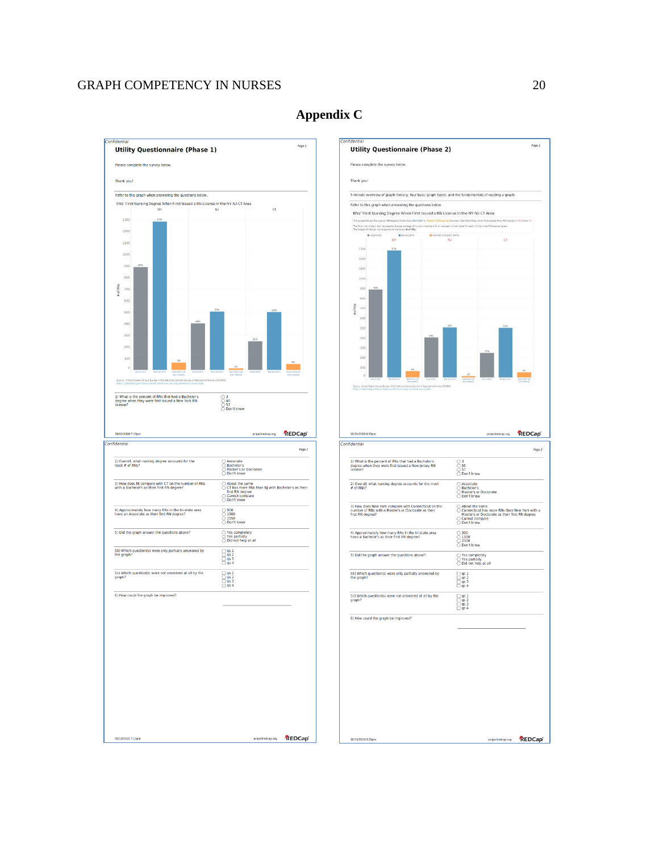



10/15/2020 8:29pm

projectredcap.org REDCap<sup>®</sup>

## **Appendix C**